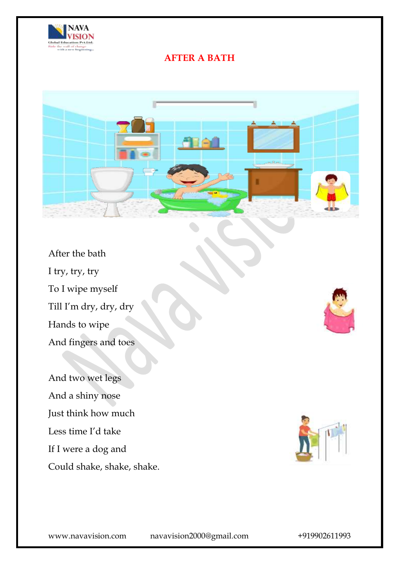

## **AFTER A BATH**



After the bath I try, try, try To I wipe myself Till I'm dry, dry, dry Hands to wipe And fingers and toes

And two wet legs And a shiny nose Just think how much Less time I'd take If I were a dog and Could shake, shake, shake.

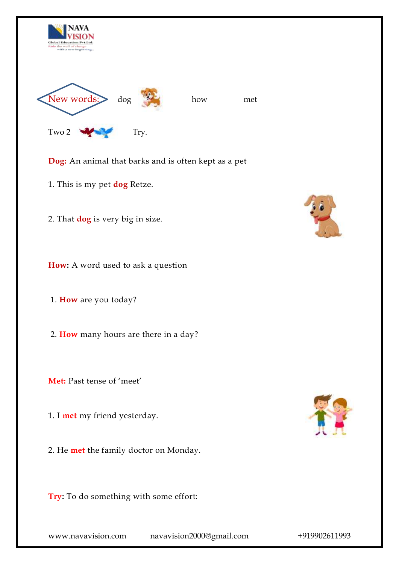

**Dog:** An animal that barks and is often kept as a pet

- 1. This is my pet **dog** Retze.
- 2. That **dog** is very big in size.

**How:** A word used to ask a question

1. **How** are you today?

2. **How** many hours are there in a day?

**Met:** Past tense of 'meet'

1. I **met** my friend yesterday.

2. He **met** the family doctor on Monday.

**Try:** To do something with some effort:



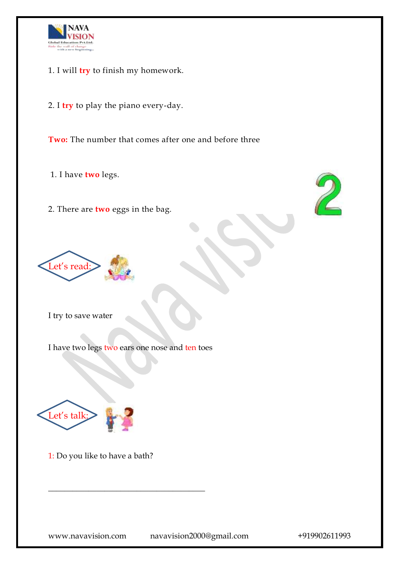

- 1. I will **try** to finish my homework.
- 2. I **try** to play the piano every-day.

**Two:** The number that comes after one and before three

- 1. I have **two** legs.
- 2. There are **two** eggs in the bag.





I try to save water

I have two legs two ears one nose and ten toes



1: Do you like to have a bath?

 $\overline{\phantom{a}}$  , where the contract of the contract of the contract of the contract of the contract of the contract of the contract of the contract of the contract of the contract of the contract of the contract of the contr